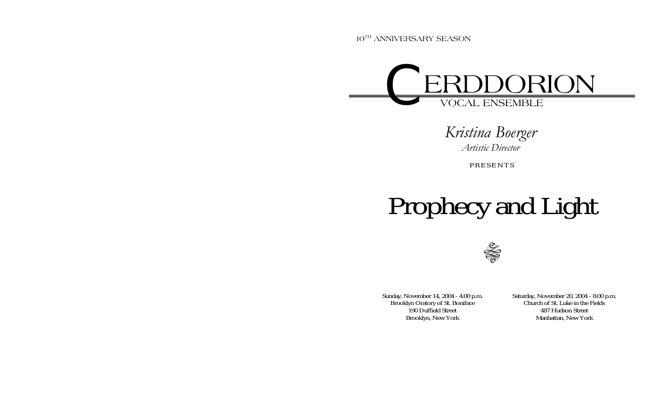10<sup>TH</sup> ANNIVERSARY SEASON



*Kristina Boerger Artistic Director* 

PRESENTS

# Prophecy and Light



Sunday, November 14, 2004 - 4:00 p.m. Brooklyn Oratory of St. Boniface 190 Duffield Street Brooklyn, New York

Saturday, November 20, 2004 - 8:00 p.m. Church of St. Luke in the Fields 487 Hudson Street Manhattan, New York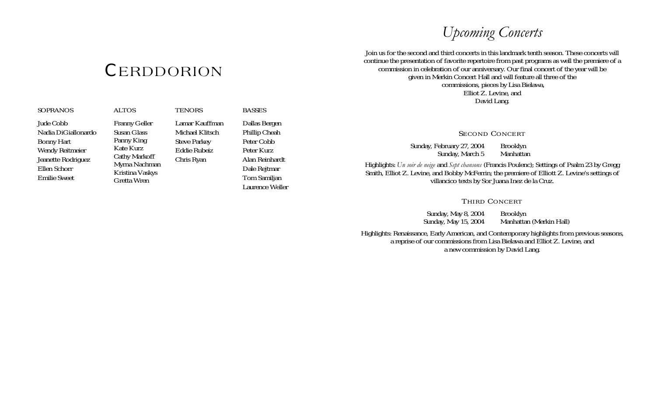# *Upcoming Concerts*

Join us for the second and third concerts in this landmark tenth season. These concerts will  ${\rm \bf CERDDORION} \hspace{1in}$ continue the presentation of favorite repertoire from past programs as well the premiere of a<br>commission in celebration of our anniversary. Our final concert of the year will be<br>given in Merkin Concert commissions, pieces by Lisa Bielawa, Elliot Z. Levine, and David Lang.

#### SECOND CONCERT

Sunday, February 27, 2004 Brooklyn<br>Sunday, March 5 Manhattan Sunday, March 5

Highlights: *Un soir de neige* and *Sept chansons* (Francis Poulenc); Settings of Psalm 23 by Gregg Smith, Elliot Z. Levine, and Bobby McFerrin; the premiere of Elliott Z. Levine's settings of villancico texts by Sor Juana Inez de la Cruz.

### THIRD CONCERT

Sunday, May 8, 2004 Brooklyn<br>Sunday, May 15, 2004 Manhatta Manhattan (Merkin Hall)

Highlights: Renaissance, Early American, and Contemporary highlights from previous seasons, a reprise of our commissions from Lisa Bielawa and Elliot Z. Levine, and a new commission by David Lang.

| <b>SOPRANOS</b> |
|-----------------|
|-----------------|

Jude Cobb Nadia DiGiallonardo Bonny Hart Wendy Reitmeier Jeanette Rodriguez Ellen Schorr Emilie Sweet

Franny Geller Susan Glass Panny King Kate KurzCathy Markoff Myrna Nachman Kristina Vaskys Gretta Wren

ALTOS

**TENORS** Lamar Kauffman Michael Klitsch Steve Parkey Eddie Rubeiz Chris Ryan

BASSESDallas Bergen Phillip Cheah Peter Cobb Peter Kurz Alan Reinhardt Dale Rejtmar Tom Samiljan Laurence Weller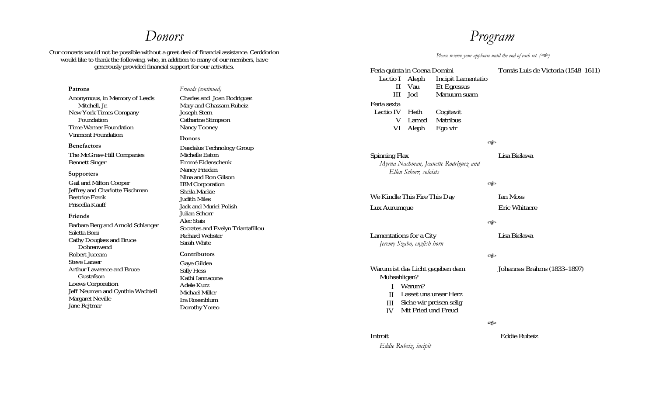### *Donors*

Our concerts would not be possible without a great deal of financial assistance. Cerddorion would like to thank the following, who, in addition to many of our members, have generously provided financial support for our activities.

**Patrons** Anonymous, in Memory of Leeds Mitchell, Jr. New York Times Company Foundation Time Warner Foundation Vinmont Foundation

#### **Benefactors**

The McGraw-Hill Companies Bennett Singer

#### **Supporters**

Gail and Milton Cooper Jeffrey and Charlotte Fischman Beatrice Frank Priscella Kauff

#### **Friends**

Barbara Berg and Arnold Schlanger Saletta Boni Cathy Douglass and Bruce Dohrenwend Robert Juceam Steve Lanser Arthur Lawrence and Bruce Gustafson Loews Corporation Jeff Neuman and Cynthia Wachtell Margaret Neville Jane Rejtmar

Charles and Joan Rodriguez Mary and Ghassam Rubeiz Joseph Stern Catharine Stimpson Nancy Tooney **Donors**  Daedalus Technology Group Michelle Eaton Emmé Eidenschenk Nancy Frieden Nina and Ron Gilson IBM Corporation Sheila Mackie Judith Miles Jack and Muriel Polish Julian Schorr Alec Stais Socrates and Evelyn Triantafillou Richard Webster Sarah White

*Friends (continued)* 

#### **Contributors**

Gaye Gildea Sally Hess Kathi Iannacone Adele Kurz Michael Miller Ira Rosenblum Dorothy Yoreo

### *Program*

*Please reserve your applause until the end of each set.* ( $\gg$ ) Feria quinta in Coena Domini Lectio I Aleph **Incipit Lamentatio** II Vau Et Egressus III Jod Manuum suamFeria sextaLectio IVCogitavit V VI Aleph Lamed Matribus Ego vir Tomás Luis de Victoria (1548–1611) ASpinning Flax  *Myrna Nachman, Jeanette Rodriguez and Ellen Schorr, soloists* Lisa Bielawa  $\llap{\sim}$ We Kindle This Fire This Day Ian Moss Lux Aurumque **Exited Exits** Eric Whitacre A Lamentations for a City  *Jeremy Szabo, english horn* Lisa Bielawa A Warum ist das Licht gegeben dem Mühsehligen? I Warum? II Lasset uns unser Herz III IV Mit Fried und Freud Siehe wir preisen selig Johannes Brahms (1833–1897) A

#### Introit

*Eddie Rubeiz, incipit* 

Eddie Rubeiz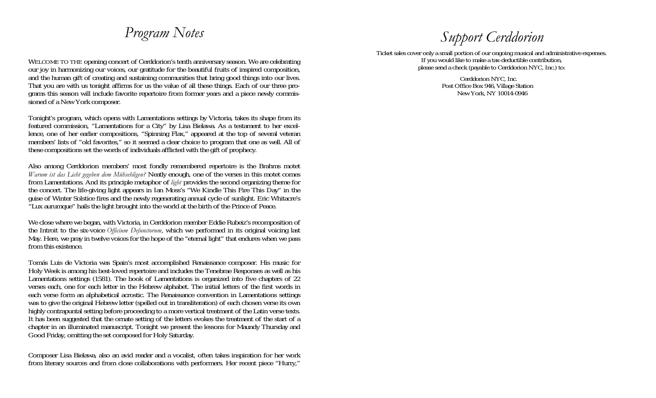# *Program Notes*

WELCOME TO THE opening concert of Cerddorion's tenth anniversary season. We are celebrating our joy in harmonizing our voices, our gratitude for the beautiful fruits of inspired composition, and the human gift of creating and sustaining communities that bring good things into our lives. That you are with us tonight affirms for us the value of all these things. Each of our three programs this season will include favorite repertoire from former years and a piece newly commissioned of a New York composer.

Tonight's program, which opens with Lamentations settings by Victoria, takes its shape from its featured commission, "Lamentations for a City" by Lisa Bielawa. As a testament to her excellence, one of her earlier compositions, "Spinning Flax," appeared at the top of several veteran members' lists of "old favorites," so it seemed a clear choice to program that one as well. All of these compositions set the words of individuals afflicted with the gift of prophecy.

Also among Cerddorion members' most fondly remembered repertoire is the Brahms motet *Warum ist das Licht gegeben dem Mühsehligen?* Neatly enough, one of the verses in this motet comes from Lamentations. And its principle metaphor of *light* provides the second organizing theme for the concert. The life-giving light appears in Ian Moss's "We Kindle This Fire This Day" in the guise of Winter Solstice fires and the newly regenerating annual cycle of sunlight. Eric Whitacre's "Lux aurumque" hails the light brought into the world at the birth of the Prince of Peace.

We close where we began, with Victoria, in Cerddorion member Eddie Rubeiz's recomposition of the Introit to the six-voice *Officium Defunctorum*, which we performed in its original voicing last May. Here, we pray in twelve voices for the hope of the "eternal light" that endures when we pass from this existence.

Tomás Luis de Victoria was Spain's most accomplished Renaissance composer. His music for Holy Week is among his best-loved repertoire and includes the Tenebrae Responses as well as his Lamentations settings (1581). The book of Lamentations is organized into five chapters of 22 verses each, one for each letter in the Hebrew alphabet. The initial letters of the first words in each verse form an alphabetical acrostic. The Renaissance convention in Lamentations settings was to give the original Hebrew letter (spelled out in transliteration) of each chosen verse its own highly contrapuntal setting before proceeding to a more vertical treatment of the Latin verse texts. It has been suggested that the ornate setting of the letters evokes the treatment of the start of a chapter in an illuminated manuscript. Tonight we present the lessons for Maundy Thursday and Good Friday, omitting the set composed for Holy Saturday.

Composer Lisa Bielawa, also an avid reader and a vocalist, often takes inspiration for her work from literary sources and from close collaborations with performers. Her recent piece "Hurry,"

# *Support Cerddorion*

Ticket sales cover only a small portion of our ongoing musical and administrative expenses. If you would like to make a tax-deductible contribution, please send a check (payable to Cerddorion NYC, Inc.) to:

> Cerddorion NYC, Inc. Post Office Box 946, Village Station New York, NY 10014-0946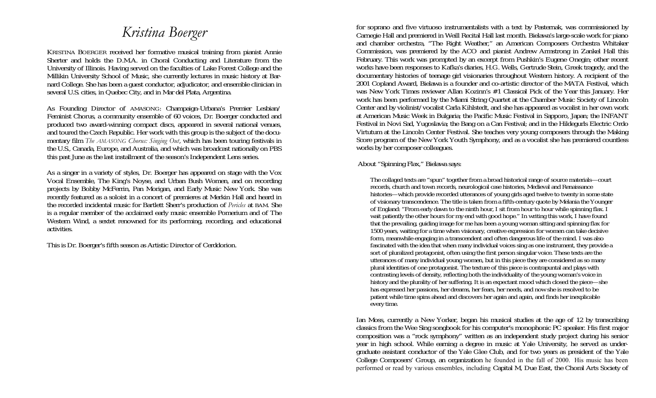# *Kristina Boerger*

KRISTINA BOERGER received her formative musical training from pianist Annie Sherter and holds the D.M.A. in Choral Conducting and Literature from the University of Illinois. Having served on the faculties of Lake Forest College and the Millikin University School of Music, she currently lectures in music history at Barnard College. She has been a guest conductor, adjudicator, and ensemble clinician in several U.S. cities, in Quebec City, and in Mar del Plata, Argentina.

As Founding Director of AMASONG: Champaign-Urbana's Premier Lesbian/ Feminist Chorus, a community ensemble of 60 voices, Dr. Boerger conducted and produced two award-winning compact discs, appeared in several national venues, and toured the Czech Republic. Her work with this group is the subject of the documentary film *The AMASONG Chorus: Singing Out*, which has been touring festivals in the U.S., Canada, Europe, and Australia, and which was broadcast nationally on PBS this past June as the last installment of the season's Independent Lens series.

As a singer in a variety of styles, Dr. Boerger has appeared on stage with the Vox Vocal Ensemble, The King's Noyse, and Urban Bush Women, and on recording projects by Bobby McFerrin, Pan Morigan, and Early Music New York. She was recently featured as a soloist in a concert of premieres at Merkin Hall and heard in the recorded incidental music for Bartlett Sherr's production of *Pericles* at BAM. She is a regular member of the acclaimed early music ensemble Pomerium and of The Western Wind, a sextet renowned for its performing, recording, and educational activities.

This is Dr. Boerger's fifth season as Artistic Director of Cerddorion.

for soprano and five virtuoso instrumentalists with a text by Pasternak, was commissioned by Carnegie Hall and premiered in Weill Recital Hall last month. Bielawa's large-scale work for piano and chamber orchestra, "The Right Weather," an American Composers Orchestra Whitaker Commission, was premiered by the ACO and pianist Andrew Armstrong in Zankel Hall this February. This work was prompted by an excerpt from Pushkin's Eugene Onegin; other recent works have been responses to Kafka's diaries, H.G. Wells, Gertrude Stein, Greek tragedy, and the documentary histories of teenage girl visionaries throughout Western history. A recipient of the 2001 Copland Award, Bielawa is a founder and co-artistic director of the MATA Festival, which was New York Times reviewer Allan Kozinn's #1 Classical Pick of the Year this January. Her work has been performed by the Miami String Quartet at the Chamber Music Society of Lincoln Center and by violinist/vocalist Carla Kihlstedt, and she has appeared as vocalist in her own work at American Music Week in Bulgaria; the Pacific Music Festival in Sapporo, Japan; the INFANT Festival in Novi Sad, Yugoslavia; the Bang on a Can Festival; and in the Hildegurls Electric Ordo Virtutum at the Lincoln Center Festival. She teaches very young composers through the Making Score program of the New York Youth Symphony, and as a vocalist she has premiered countless works by her composer colleagues.

About "Spinning Flax," Bielawa says:

The collaged texts are "spun" together from a broad historical range of source materials—court records, church and town records, neurological case histories, Medieval and Renaissance histories—which provide recorded utterances of young girls aged twelve to twenty in some state of visionary transcendence. The title is taken from a fifth-century quote by Melania the Younger of England: "From early dawn to the ninth hour, I sit from hour to hour while spinning flax. I wait patiently the other hours for my end with good hope." In writing this work, I have found that the prevailing, guiding image for me has been a young woman sitting and spinning flax for 1500 years, waiting for a time when visionary, creative expression for women can take decisive form, meanwhile engaging in a transcendent and often dangerous life of the mind. I was also fascinated with the idea that when many individual voices sing as one instrument, they provide a sort of pluralized protagonist, often using the first person singular voice. These texts are the utterances of many individual young women, but in this piece they are considered as so many plural identities of one protagonist. The texture of this piece is contrapuntal and plays with contrasting levels of density, reflecting both the individuality of the young woman's voice in history and the plurality of her suffering. It is an expectant mood which closed the piece—she has expressed her passions, her dreams, her fears, her needs, and now she is resolved to be patient while time spins ahead and discovers her again and again, and finds her inexplicable every time.

Ian Moss, currently a New Yorker, began his musical studies at the age of 12 by transcribing classics from the Wee Sing songbook for his computer's monophonic PC speaker. His first major composition was a "rock symphony" written as an independent study project during his senior year in high school. While earning a degree in music at Yale University, he served as undergraduate assistant conductor of the Yale Glee Club, and for two years as president of the Yale College Composers' Group, an organization he founded in the fall of 2000. His music has been performed or read by various ensembles, including Capital M, Due East, the Choral Arts Society of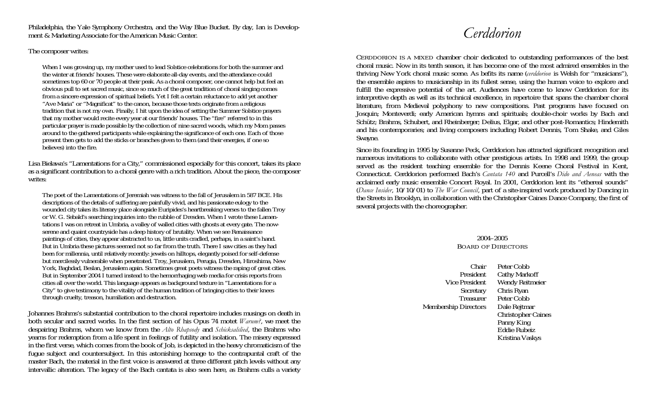Philadelphia, the Yale Symphony Orchestra, and the Way Blue Bucket. By day, Ian is Development & Marketing Associate for the American Music Center.

### The composer writes:

When I was growing up, my mother used to lead Solstice celebrations for both the summer and the winter at friends' houses. These were elaborate all-day events, and the attendance could sometimes top 60 or 70 people at their peak. As a choral composer, one cannot help but feel an obvious pull to set sacred music, since so much of the great tradition of choral singing comes from a sincere expression of spiritual beliefs. Yet I felt a certain reluctance to add yet another "Ave Maria" or "Magnificat" to the canon, because those texts originate from a religious tradition that is not my own. Finally, I hit upon the idea of setting the Summer Solstice prayers that my mother would recite every year at our friends' houses. The "fire" referred to in this particular prayer is made possible by the collection of nine sacred woods, which my Mom passes around to the gathered participants while explaining the significance of each one. Each of those present then gets to add the sticks or branches given to them (and their energies, if one so believes) into the fire.

Lisa Bielawa's "Lamentations for a City," commissioned especially for this concert, takes its place as a significant contribution to a choral genre with a rich tradition. About the piece, the composer writes:

The poet of the Lamentations of Jeremiah was witness to the fall of Jerusalem in 587 BCE. His descriptions of the details of suffering are painfully vivid, and his passionate eulogy to the wounded city takes its literary place alongside Euripides's heartbreaking verses to the fallen Troy or W. G. Sebald's searching inquiries into the rubble of Dresden. When I wrote these Lamentations I was on retreat in Umbria, a valley of walled cities with ghosts at every gate. The nowserene and quaint countryside has a deep history of brutality. When we see Renaissance paintings of cities, they appear abstracted to us, little units cradled, perhaps, in a saint's hand. But in Umbria these pictures seemed not so far from the truth. There I saw cities as they had been for millennia, until relatively recently: jewels on hilltops, elegantly poised for self-defense but mercilessly vulnerable when penetrated. Troy, Jerusalem, Perugia, Dresden, Hiroshima, New York, Baghdad, Beslan, Jerusalem again. Sometimes great poets witness the raping of great cities. But in September 2004 I turned instead to the hemorrhaging web media for crisis reports from cities all over the world. This language appears as background texture in "Lamentations for a City" to give testimony to the vitality of the human tradition of bringing cities to their knees through cruelty, treason, humiliation and destruction.

Johannes Brahms's substantial contribution to the choral repertoire includes musings on death in both secular and sacred works. In the first section of his Opus 74 motet *Warum?*, we meet the despairing Brahms, whom we know from the *Alto Rhapsody* and *Schicksalslied*, the Brahms who yearns for redemption from a life spent in feelings of futility and isolation. The misery expressed in the first verse, which comes from the book of Job, is depicted in the heavy chromaticism of the fugue subject and countersubject. In this astonishing homage to the contrapuntal craft of the master Bach, the material in the first voice is answered at three different pitch levels without any intervallic alteration. The legacy of the Bach cantata is also seen here, as Brahms culls a variety

### *Cerddorion*

CERDDORION IS A MIXED chamber choir dedicated to outstanding performances of the best choral music. Now in its tenth season, it has become one of the most admired ensembles in the thriving New York choral music scene. As befits its name (*cerddorion* is Welsh for "musicians"), the ensemble aspires to musicianship in its fullest sense, using the human voice to explore and fulfill the expressive potential of the art. Audiences have come to know Cerddorion for its interpretive depth as well as its technical excellence, in repertoire that spans the chamber choral literature, from Medieval polyphony to new compositions. Past programs have focused on Josquin; Monteverdi; early American hymns and spirituals; double-choir works by Bach and Schütz; Brahms, Schubert, and Rheinberger; Delius, Elgar, and other post-Romantics; Hindemith and his contemporaries; and living composers including Robert Dennis, Tom Shake, and Giles Swayne.

Since its founding in 1995 by Susanne Peck, Cerddorion has attracted significant recognition and numerous invitations to collaborate with other prestigious artists. In 1998 and 1999, the group served as the resident teaching ensemble for the Dennis Keene Choral Festival in Kent, Connecticut. Cerddorion performed Bach's *Cantata 140* and Purcell's *Dido and Aeneas* with the acclaimed early music ensemble Concert Royal. In 2001, Cerddorion lent its "ethereal sounds" (*Dance Insider*, 10/10/01) to *The War Council*, part of a site-inspired work produced by Dancing in the Streets in Brooklyn, in collaboration with the Christopher Caines Dance Company, the first of several projects with the choreographer.

### 2004–2005 BOARD OF DIRECTORS

Chair Peter CobbPresident Cathy Markoff Vice President Wendy Reitmeier Secretary Chris Ryan **Treasurer**  Peter CobbMembership Directors Dale Rejtmar Christopher Caines Panny King Eddie Rubeiz Kristina Vaskys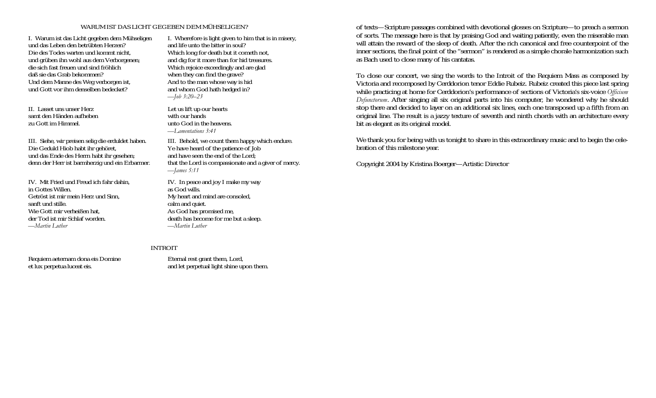#### WARUM IST DAS LICHT GEGEBEN DEM MÜHSELIGEN?

I. Warum ist das Licht gegeben dem Mühseligen und das Leben den betrübten Herzen? Die des Todes warten und kommt nicht, und grüben ihn wohl aus dem Verborgenen; die sich fast freuen und sind fröhlich daß sie das Grab bekommen? Und dem Manne des Weg verborgen ist, und Gott vor ihm denselben bedecket?

II. Lasset uns unser Herz samt den Händen aufheben zu Gott im Himmel.

III. Siehe, wir preisen selig die erduldet haben. Die Geduld Hiob habt ihr gehöret, und das Ende des Herrn habt ihr gesehen; denn der Herr ist barmherzig und ein Erbarmer.

IV. Mit Fried und Freud ich fahr dahin, in Gottes Willen. Getröst ist mir mein Herz und Sinn, sanft und stille. Wie Gott mir verheißen hat, der Tod ist mir Schlaf worden. *—Martin Luther* 

Requiem aeternam dona eis Domine et lux perpetua luceat eis.

I. Wherefore is light given to him that is in misery, and life unto the bitter in soul? Which long for death but it cometh not, and dig for it more than for hid treasures. Which rejoice exceedingly and are glad when they can find the grave? And to the man whose way is hid and whom God hath hedged in? *—Job 3:20–23* 

Let us lift up our hearts with our hands unto God in the heavens. *—Lamentations 3:41* 

III. Behold, we count them happy which endure. Ye have heard of the patience of Job and have seen the end of the Lord; that the Lord is compassionate and a giver of mercy. *—James 5:11* 

IV. In peace and joy I make my way as God wills. My heart and mind are consoled, calm and quiet. As God has promised me, death has become for me but a sleep. *—Martin Luther* 

#### INTROIT

Eternal rest grant them, Lord, and let perpetual light shine upon them.

of texts—Scripture passages combined with devotional glosses on Scripture—to preach a sermon of sorts. The message here is that by praising God and waiting patiently, even the miserable man will attain the reward of the sleep of death. After the rich canonical and free counterpoint of the inner sections, the final point of the "sermon" is rendered as a simple chorale harmonization such as Bach used to close many of his cantatas.

To close our concert, we sing the words to the Introit of the Requiem Mass as composed by Victoria and recomposed by Cerddorion tenor Eddie Rubeiz. Rubeiz created this piece last spring while practicing at home for Cerddorion's performance of sections of Victoria's six-voice *Officium Defunctorum*. After singing all six original parts into his computer, he wondered why he should stop there and decided to layer on an additional six lines, each one transposed up a fifth from an original line. The result is a jazzy texture of seventh and ninth chords with an architecture every bit as elegant as its original model.

We thank you for being with us tonight to share in this extraordinary music and to begin the celebration of this milestone year.

Copyright 2004 by Kristina Boerger—Artistic Director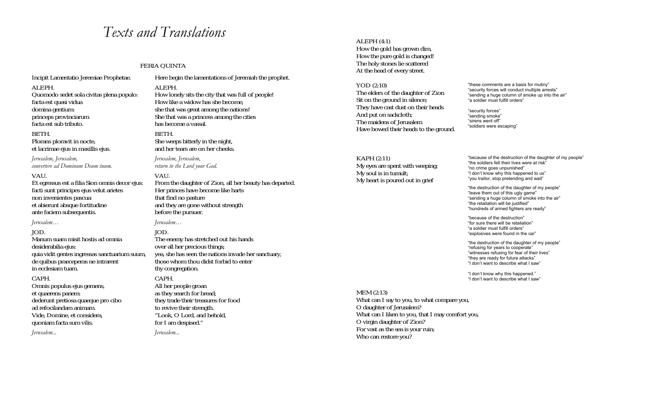### *Texts and Translations*

#### FERIA QUINTA

Incipit Lamentatio Jeremiae Prophetae.

#### ALEPH.

 Quomodo sedet sola civitas plena populo: facta est quasi vidua domina gentium: princeps provinciarum facta est sub tributo.

#### BETH. Plorans ploravit in nocte, et lacrimae ejus in maxillis ejus.

*Jerusalem, Jerusalem, convertere ad Dominum Deum tuum.*

#### VAU.

Et egressus est a filia Sion omnis decor ejus: facti sunt principes ejus velut arietes non invenientes pascua: et abierunt absque fortitudine ante faciem subsequentis.

*Jerusalem…* 

#### JOD.

Manum suam misit hostis ad omnia desiderabilia ejus: quia vidit gentes ingressas sanctuarium suum, de quibus praeceperas ne intrarent in ecclesiam tuam.

#### CAPH.

Omnis populus ejus gemens, et quaerens panem: dederunt pretiosa quaeque pro cibo ad refocilandam animam. Vide, Domine, et considera, quoniam facta sum vilis.

*Jerusalem...* 

Here begin the lamentations of Jeremiah the prophet.

ALEPH. How lonely sits the city that was full of people! How like a widow has she become, she that was great among the nations! She that was a princess among the cities has become a vassal.

BETH. She weeps bitterly in the night, and her tears are on her cheeks.

*Jerusalem, Jerusalem, return to the Lord your God.*

#### VAU.

From the daughter of Zion, all her beauty has departed. Her princes have become like harts that find no pasture and they are gone without strength before the pursuer.

#### *Jerusalem…*

JOD. The enemy has stretched out his hands over all her precious things; yea, she has seen the nations invade her sanctuary, those whom thou didst forbid to enter thy congregation.

#### CAPH.

All her people groan as they search for bread; they trade their treasures for food to revive their strength. "Look, O Lord, and behold, for I am despised."

*Jerusalem...* 

#### ALEPH (4:1)

How the gold has grown dim, How the pure gold is changed! The holy stones lie scattered At the head of every street.

YOD (2:10) The elders of the daughter of Zion Sit on the ground in silence; They have cast dust on their heads And put on sackcloth; The maidens of Jerusalem Have bowed their heads to the ground.

KAPH (2:11) My eyes are spent with weeping; My soul is in tumult; My heart is poured out in grief

"these comments are a basis for mutiny" "security forces will conduct multiple arrests" "sending a huge column of smoke up into the air" "a soldier must fulfill orders"

"security forces" "sending smoke" "sirens went off" "soldiers were escaping"

"because of the destruction of the daughter of my people" "the soldiers felt their lives were at risk" "no crime goes unpunished" "I don't know why this happened to us" "you traitor, stop pretending and wait"

"the destruction of the daughter of my people" "leave them out of this ugly game" "sending a huge column of smoke into the air" "the retaliation will be justified" "hundreds of armed fighters are ready"

"because of the destruction" "for sure there will be retaliation" "a soldier must fulfill orders" "explosives were found in the car"

"the destruction of the daughter of my people" "refusing for years to cooperate" "witnesses refusing for fear of their lives" "they are ready for future attacks" "I don't want to describe what I saw"

"I don't know why this happened." "I don't want to describe what I saw"

MEM (2:13) What can I say to you, to what compare you, O daughter of Jerusalem? What can I liken to you, that I may comfort you, O virgin daughter of Zion? For vast as the sea is your ruin; Who can restore you?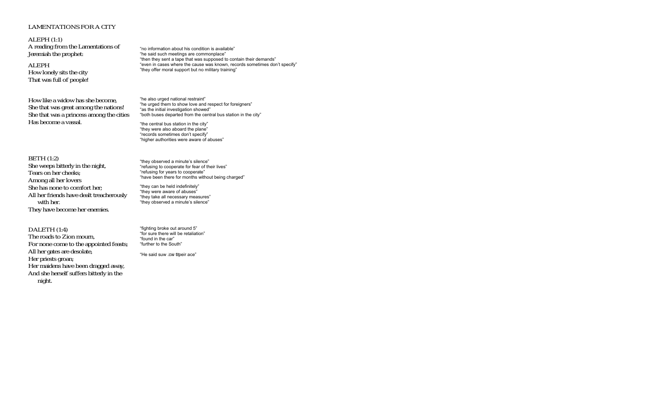#### LAMENTATIONS FOR A CITY

ALEPH (1:1) A reading from the Lamentations of Jeremiah the prophet:

ALEPH How lonely sits the city That was full of people!

BETH (1:2)

Tears on her cheeks; Among all her lovers She has none to comfort her;

with her.

How like a widow has she become, She that was great among the nations! She that was a princess among the cities Has become a vassal.

She weeps bitterly in the night,

They have become her enemies.

"no information about his condition is available" "he said such meetings are commonplace" "then they sent a tape that was supposed to contain their demands" "even in cases where the cause was known, records sometimes don't specify" "they offer moral support but no military training"

"he also urged national restraint" "he urged them to show love and respect for foreigners" "as the initial investigation showed" "both buses departed from the central bus station in the city" "the central bus station in the city" "they were also aboard the plane"

> "they observed a minute's silence" "refusing to cooperate for fear of their lives" "refusing for years to cooperate" "have been there for months without being charged"

"they can be held indefinitely" "they were aware of abuses" "they take all necessary measures" "they observed a minute's silence"

"records sometimes don't specify" "higher authorities were aware of abuses"

DALETH (1:4) The roads to Zion mourn, For none come to the appointed feasts; All her gates are desolate, Her priests groan; Her maidens have been dragged away, And she herself suffers bitterly in the night.

All her friends have dealt treacherously

"fighting broke out around 5" "for sure there will be retaliation" "found in the car" "further to the South"

"He said suw 1c& #peir ace"